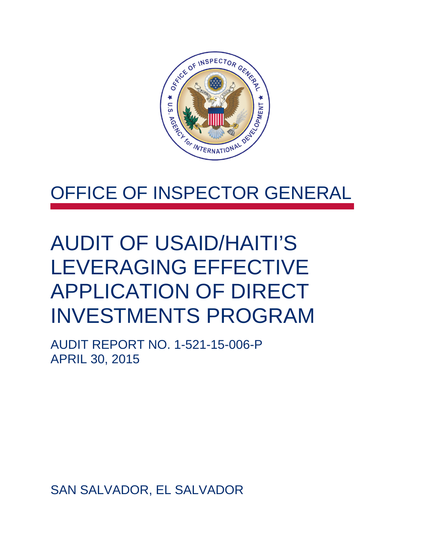

# OFFICE OF INSPECTOR GENERAL

# AUDIT OF USAID/HAITI'S LEVERAGING EFFECTIVE APPLICATION OF DIRECT INVESTMENTS PROGRAM

AUDIT REPORT NO. 1-521-15-006-P APRIL 30, 2015

SAN SALVADOR, EL SALVADOR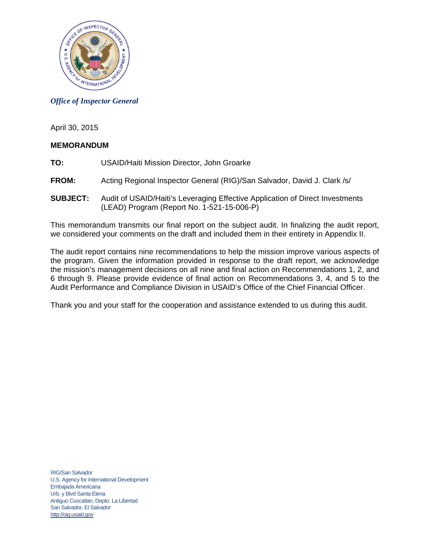

#### *Office of Inspector General*

April 30, 2015

#### **MEMORANDUM**

- **TO:** USAID/Haiti Mission Director, John Groarke
- **FROM:** Acting Regional Inspector General (RIG)/San Salvador, David J. Clark /s/
- **SUBJECT:** Audit of USAID/Haiti's Leveraging Effective Application of Direct Investments (LEAD) Program (Report No. 1-521-15-006-P)

This memorandum transmits our final report on the subject audit. In finalizing the audit report, we considered your comments on the draft and included them in their entirety in Appendix II.

The audit report contains nine recommendations to help the mission improve various aspects of the program. Given the information provided in response to the draft report, we acknowledge the mission's management decisions on all nine and final action on Recommendations 1, 2, and 6 through 9. Please provide evidence of final action on Recommendations 3, 4, and 5 to the Audit Performance and Compliance Division in USAID's Office of the Chief Financial Officer.

Thank you and your staff for the cooperation and assistance extended to us during this audit.

RIG/San Salvador U.S. Agency for International Development Embajada Americana Urb. y Blvd Santa Elena Antiguo Cuscatlan, Depto. La Libertad San Salvador, El Salvador http://oig.usaid.gov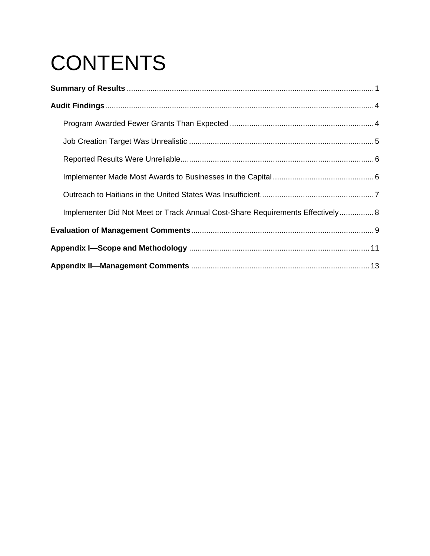# **CONTENTS**

| Implementer Did Not Meet or Track Annual Cost-Share Requirements Effectively 8 |  |
|--------------------------------------------------------------------------------|--|
|                                                                                |  |
|                                                                                |  |
|                                                                                |  |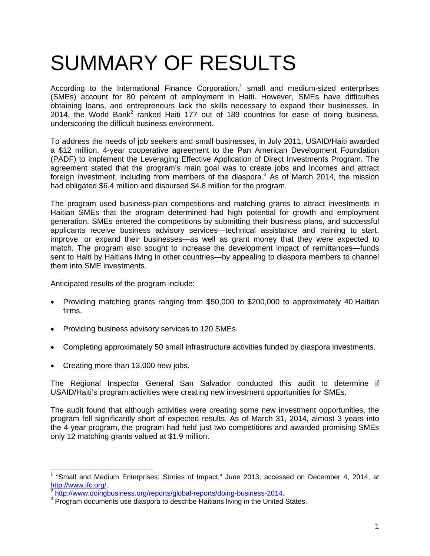# SUMMARY OF RESULTS

According to the International Finance Corporation,<sup>1</sup> small and medium-sized enterprises (SMEs) account for 80 percent of employment in Haiti. However, SMEs have difficulties obtaining loans, and entrepreneurs lack the skills necessary to expand their businesses. In 2014, the World Bank<sup>2</sup> ranked Haiti 177 out of 189 countries for ease of doing business, underscoring the difficult business environment.

To address the needs of job seekers and small businesses, in July 2011, USAID/Haiti awarded a \$12 million, 4-year cooperative agreement to the Pan American Development Foundation (PADF) to implement the Leveraging Effective Application of Direct Investments Program. The agreement stated that the program's main goal was to create jobs and incomes and attract foreign investment, including from members of the diaspora.<sup>3</sup> As of March 2014, the mission had obligated \$6.4 million and disbursed \$4.8 million for the program.

The program used business-plan competitions and matching grants to attract investments in Haitian SMEs that the program determined had high potential for growth and employment generation. SMEs entered the competitions by submitting their business plans, and successful applicants receive business advisory services—technical assistance and training to start, improve, or expand their businesses—as well as grant money that they were expected to match. The program also sought to increase the development impact of remittances—funds sent to Haiti by Haitians living in other countries—by appealing to diaspora members to channel them into SME investments.

Anticipated results of the program include:

- Providing matching grants ranging from \$50,000 to \$200,000 to approximately 40 Haitian firms.
- Providing business advisory services to 120 SMEs.
- Completing approximately 50 small infrastructure activities funded by diaspora investments.
- Creating more than 13,000 new jobs.

The Regional Inspector General San Salvador conducted this audit to determine if USAID/Haiti's program activities were creating new investment opportunities for SMEs.

The audit found that although activities were creating some new investment opportunities, the program fell significantly short of expected results. As of March 31, 2014, almost 3 years into the 4-year program, the program had held just two competitions and awarded promising SMEs only 12 matching grants valued at \$1.9 million.

<sup>&</sup>lt;sup>1</sup> "Small and Medium Enterprises: Stories of Impact," June 2013, accessed on December 4, 2014, at http://www.ifc.org/.<br><sup>2</sup> http://www.doingbusiness.org/reports/global-reports/doing-business-2014.

<sup>&</sup>lt;sup>3</sup> Program documents use diaspora to describe Haitians living in the United States.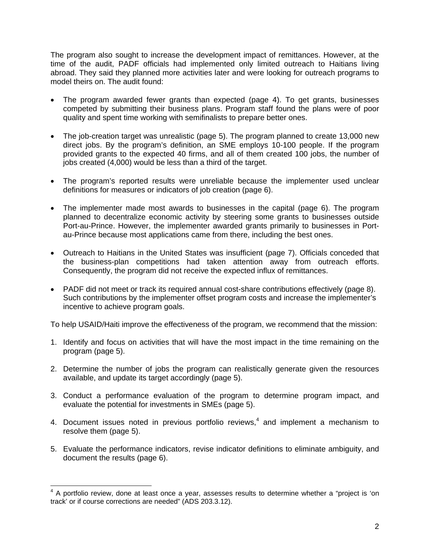The program also sought to increase the development impact of remittances. However, at the time of the audit, PADF officials had implemented only limited outreach to Haitians living abroad. They said they planned more activities later and were looking for outreach programs to model theirs on. The audit found:

- The program awarded fewer grants than expected (page 4). To get grants, businesses competed by submitting their business plans. Program staff found the plans were of poor quality and spent time working with semifinalists to prepare better ones.
- The job-creation target was unrealistic (page 5). The program planned to create 13,000 new direct jobs. By the program's definition, an SME employs 10-100 people. If the program provided grants to the expected 40 firms, and all of them created 100 jobs, the number of jobs created (4,000) would be less than a third of the target.
- The program's reported results were unreliable because the implementer used unclear definitions for measures or indicators of job creation (page 6).
- The implementer made most awards to businesses in the capital (page 6). The program planned to decentralize economic activity by steering some grants to businesses outside Port-au-Prince. However, the implementer awarded grants primarily to businesses in Portau-Prince because most applications came from there, including the best ones.
- Outreach to Haitians in the United States was insufficient (page 7). Officials conceded that the business-plan competitions had taken attention away from outreach efforts. Consequently, the program did not receive the expected influx of remittances.
- PADF did not meet or track its required annual cost-share contributions effectively (page 8). Such contributions by the implementer offset program costs and increase the implementer's incentive to achieve program goals.

To help USAID/Haiti improve the effectiveness of the program, we recommend that the mission:

- 1. Identify and focus on activities that will have the most impact in the time remaining on the program (page 5).
- 2. Determine the number of jobs the program can realistically generate given the resources available, and update its target accordingly (page 5).
- 3. Conduct a performance evaluation of the program to determine program impact, and evaluate the potential for investments in SMEs (page 5).
- 4. Document issues noted in previous portfolio reviews, $4$  and implement a mechanism to resolve them (page 5).
- 5. Evaluate the performance indicators, revise indicator definitions to eliminate ambiguity, and document the results (page 6).

 4 A portfolio review, done at least once a year, assesses results to determine whether a "project is 'on track' or if course corrections are needed" (ADS 203.3.12).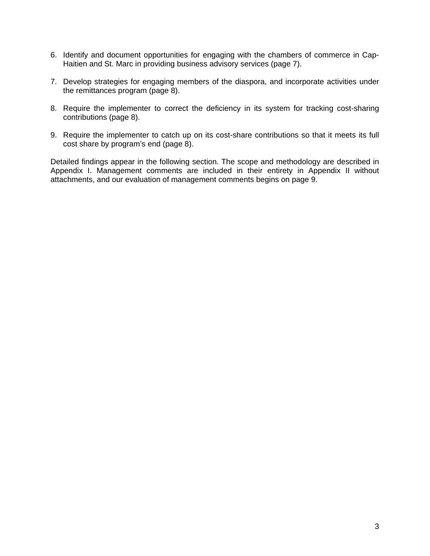- 6. Identify and document opportunities for engaging with the chambers of commerce in Cap-Haitien and St. Marc in providing business advisory services (page 7).
- 7. Develop strategies for engaging members of the diaspora, and incorporate activities under the remittances program (page 8).
- 8. Require the implementer to correct the deficiency in its system for tracking cost-sharing contributions (page 8).
- 9. Require the implementer to catch up on its cost-share contributions so that it meets its full cost share by program's end (page 8).

Detailed findings appear in the following section. The scope and methodology are described in Appendix I. Management comments are included in their entirety in Appendix II without attachments, and our evaluation of management comments begins on page 9.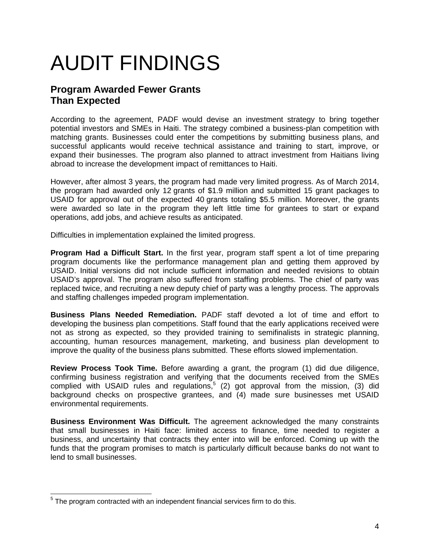# AUDIT FINDINGS

# **Program Awarded Fewer Grants Than Expected**

According to the agreement, PADF would devise an investment strategy to bring together potential investors and SMEs in Haiti. The strategy combined a business-plan competition with matching grants. Businesses could enter the competitions by submitting business plans, and successful applicants would receive technical assistance and training to start, improve, or expand their businesses. The program also planned to attract investment from Haitians living abroad to increase the development impact of remittances to Haiti.

However, after almost 3 years, the program had made very limited progress. As of March 2014, the program had awarded only 12 grants of \$1.9 million and submitted 15 grant packages to USAID for approval out of the expected 40 grants totaling \$5.5 million. Moreover, the grants were awarded so late in the program they left little time for grantees to start or expand operations, add jobs, and achieve results as anticipated.

Difficulties in implementation explained the limited progress.

**Program Had a Difficult Start.** In the first year, program staff spent a lot of time preparing program documents like the performance management plan and getting them approved by USAID. Initial versions did not include sufficient information and needed revisions to obtain USAID's approval. The program also suffered from staffing problems. The chief of party was replaced twice, and recruiting a new deputy chief of party was a lengthy process. The approvals and staffing challenges impeded program implementation.

**Business Plans Needed Remediation.** PADF staff devoted a lot of time and effort to developing the business plan competitions. Staff found that the early applications received were not as strong as expected, so they provided training to semifinalists in strategic planning, accounting, human resources management, marketing, and business plan development to improve the quality of the business plans submitted. These efforts slowed implementation.

**Review Process Took Time.** Before awarding a grant, the program (1) did due diligence, confirming business registration and verifying that the documents received from the SMEs complied with USAID rules and regulations,<sup>5</sup> (2) got approval from the mission, (3) did background checks on prospective grantees, and (4) made sure businesses met USAID environmental requirements.

**Business Environment Was Difficult.** The agreement acknowledged the many constraints that small businesses in Haiti face: limited access to finance, time needed to register a business, and uncertainty that contracts they enter into will be enforced. Coming up with the funds that the program promises to match is particularly difficult because banks do not want to lend to small businesses.

 5 The program contracted with an independent financial services firm to do this.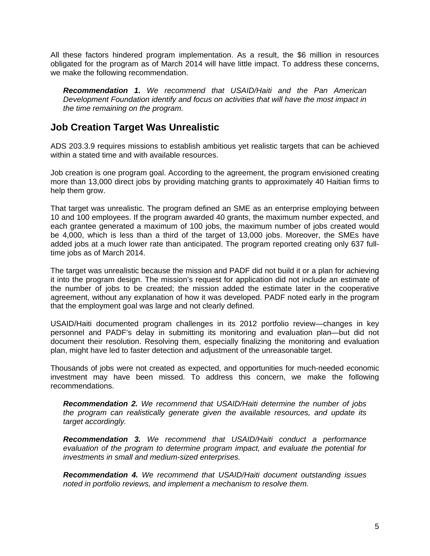All these factors hindered program implementation. As a result, the \$6 million in resources obligated for the program as of March 2014 will have little impact. To address these concerns, we make the following recommendation.

*Recommendation 1. We recommend that USAID/Haiti and the Pan American Development Foundation identify and focus on activities that will have the most impact in the time remaining on the program.* 

## **Job Creation Target Was Unrealistic**

ADS 203.3.9 requires missions to establish ambitious yet realistic targets that can be achieved within a stated time and with available resources.

Job creation is one program goal. According to the agreement, the program envisioned creating more than 13,000 direct jobs by providing matching grants to approximately 40 Haitian firms to help them grow.

That target was unrealistic. The program defined an SME as an enterprise employing between 10 and 100 employees. If the program awarded 40 grants, the maximum number expected, and each grantee generated a maximum of 100 jobs, the maximum number of jobs created would be 4,000, which is less than a third of the target of 13,000 jobs. Moreover, the SMEs have added jobs at a much lower rate than anticipated. The program reported creating only 637 fulltime jobs as of March 2014.

The target was unrealistic because the mission and PADF did not build it or a plan for achieving it into the program design. The mission's request for application did not include an estimate of the number of jobs to be created; the mission added the estimate later in the cooperative agreement, without any explanation of how it was developed. PADF noted early in the program that the employment goal was large and not clearly defined.

USAID/Haiti documented program challenges in its 2012 portfolio review—changes in key personnel and PADF's delay in submitting its monitoring and evaluation plan—but did not document their resolution. Resolving them, especially finalizing the monitoring and evaluation plan, might have led to faster detection and adjustment of the unreasonable target.

Thousands of jobs were not created as expected, and opportunities for much-needed economic investment may have been missed. To address this concern, we make the following recommendations.

*Recommendation 2. We recommend that USAID/Haiti determine the number of jobs the program can realistically generate given the available resources, and update its target accordingly.* 

*Recommendation 3. We recommend that USAID/Haiti conduct a performance evaluation of the program to determine program impact, and evaluate the potential for investments in small and medium-sized enterprises.* 

*Recommendation 4. We recommend that USAID/Haiti document outstanding issues noted in portfolio reviews, and implement a mechanism to resolve them.*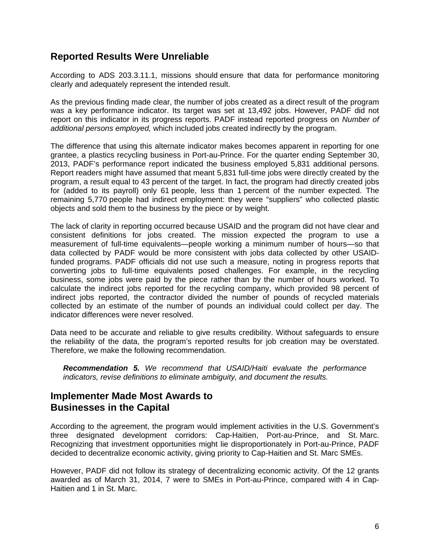## **Reported Results Were Unreliable**

According to ADS 203.3.11.1, missions should ensure that data for performance monitoring clearly and adequately represent the intended result.

As the previous finding made clear, the number of jobs created as a direct result of the program was a key performance indicator. Its target was set at 13,492 jobs. However, PADF did not report on this indicator in its progress reports. PADF instead reported progress on *Number of additional persons employed,* which included jobs created indirectly by the program.

The difference that using this alternate indicator makes becomes apparent in reporting for one grantee, a plastics recycling business in Port-au-Prince. For the quarter ending September 30, 2013, PADF's performance report indicated the business employed 5,831 additional persons. Report readers might have assumed that meant 5,831 full-time jobs were directly created by the program, a result equal to 43 percent of the target. In fact, the program had directly created jobs for (added to its payroll) only 61 people, less than 1 percent of the number expected. The remaining 5,770 people had indirect employment: they were "suppliers" who collected plastic objects and sold them to the business by the piece or by weight.

The lack of clarity in reporting occurred because USAID and the program did not have clear and consistent definitions for jobs created. The mission expected the program to use a measurement of full-time equivalents—people working a minimum number of hours—so that data collected by PADF would be more consistent with jobs data collected by other USAIDfunded programs. PADF officials did not use such a measure, noting in progress reports that converting jobs to full-time equivalents posed challenges. For example, in the recycling business, some jobs were paid by the piece rather than by the number of hours worked. To calculate the indirect jobs reported for the recycling company, which provided 98 percent of indirect jobs reported, the contractor divided the number of pounds of recycled materials collected by an estimate of the number of pounds an individual could collect per day. The indicator differences were never resolved.

Data need to be accurate and reliable to give results credibility. Without safeguards to ensure the reliability of the data, the program's reported results for job creation may be overstated. Therefore, we make the following recommendation.

*Recommendation 5. We recommend that USAID/Haiti evaluate the performance indicators, revise definitions to eliminate ambiguity, and document the results.* 

### **Implementer Made Most Awards to Businesses in the Capital**

According to the agreement, the program would implement activities in the U.S. Government's three designated development corridors: Cap-Haitien, Port-au-Prince, and St. Marc. Recognizing that investment opportunities might lie disproportionately in Port-au-Prince, PADF decided to decentralize economic activity, giving priority to Cap-Haitien and St. Marc SMEs.

However, PADF did not follow its strategy of decentralizing economic activity. Of the 12 grants awarded as of March 31, 2014, 7 were to SMEs in Port-au-Prince, compared with 4 in Cap-Haitien and 1 in St. Marc.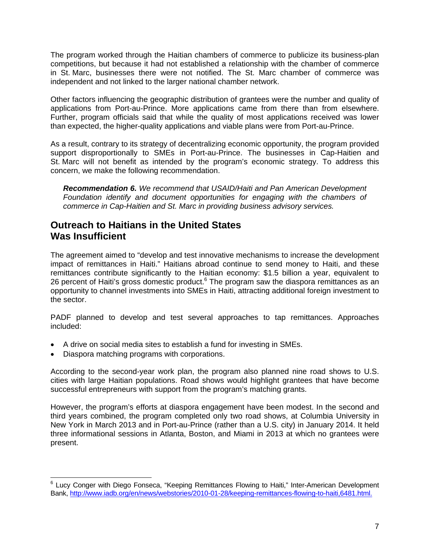The program worked through the Haitian chambers of commerce to publicize its business-plan competitions, but because it had not established a relationship with the chamber of commerce in St. Marc, businesses there were not notified. The St. Marc chamber of commerce was independent and not linked to the larger national chamber network.

Other factors influencing the geographic distribution of grantees were the number and quality of applications from Port-au-Prince. More applications came from there than from elsewhere. Further, program officials said that while the quality of most applications received was lower than expected, the higher-quality applications and viable plans were from Port-au-Prince.

As a result, contrary to its strategy of decentralizing economic opportunity, the program provided support disproportionally to SMEs in Port-au-Prince. The businesses in Cap-Haitien and St. Marc will not benefit as intended by the program's economic strategy. To address this concern, we make the following recommendation.

*Recommendation 6. We recommend that USAID/Haiti and Pan American Development Foundation identify and document opportunities for engaging with the chambers of commerce in Cap-Haitien and St. Marc in providing business advisory services.* 

## **Outreach to Haitians in the United States Was Insufficient**

The agreement aimed to "develop and test innovative mechanisms to increase the development impact of remittances in Haiti." Haitians abroad continue to send money to Haiti, and these remittances contribute significantly to the Haitian economy: \$1.5 billion a year, equivalent to 26 percent of Haiti's gross domestic product.<sup>6</sup> The program saw the diaspora remittances as an opportunity to channel investments into SMEs in Haiti, attracting additional foreign investment to the sector.

PADF planned to develop and test several approaches to tap remittances. Approaches included:

- A drive on social media sites to establish a fund for investing in SMEs.
- Diaspora matching programs with corporations.

According to the second-year work plan, the program also planned nine road shows to U.S. cities with large Haitian populations. Road shows would highlight grantees that have become successful entrepreneurs with support from the program's matching grants.

However, the program's efforts at diaspora engagement have been modest. In the second and third years combined, the program completed only two road shows, at Columbia University in New York in March 2013 and in Port-au-Prince (rather than a U.S. city) in January 2014. It held three informational sessions in Atlanta, Boston, and Miami in 2013 at which no grantees were present.

 $\overline{a}$ <sup>6</sup> Lucy Conger with Diego Fonseca, "Keeping Remittances Flowing to Haiti," Inter-American Development Bank, http://www.iadb.org/en/news/webstories/2010-01-28/keeping-remittances-flowing-to-haiti,6481.html.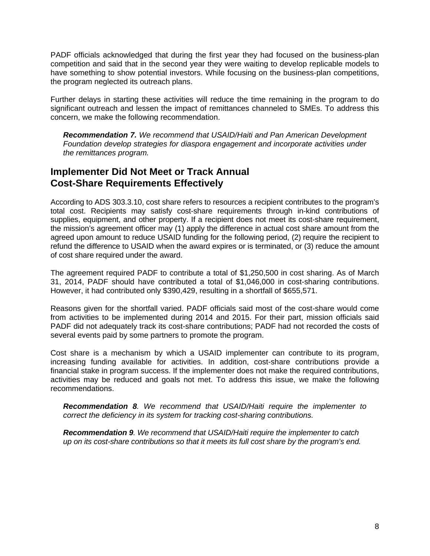PADF officials acknowledged that during the first year they had focused on the business-plan competition and said that in the second year they were waiting to develop replicable models to have something to show potential investors. While focusing on the business-plan competitions, the program neglected its outreach plans.

Further delays in starting these activities will reduce the time remaining in the program to do significant outreach and lessen the impact of remittances channeled to SMEs. To address this concern, we make the following recommendation.

*Recommendation 7. We recommend that USAID/Haiti and Pan American Development Foundation develop strategies for diaspora engagement and incorporate activities under the remittances program.*

### **Implementer Did Not Meet or Track Annual Cost-Share Requirements Effectively**

According to ADS 303.3.10, cost share refers to resources a recipient contributes to the program's total cost. Recipients may satisfy cost-share requirements through in-kind contributions of supplies, equipment, and other property. If a recipient does not meet its cost-share requirement, the mission's agreement officer may (1) apply the difference in actual cost share amount from the agreed upon amount to reduce USAID funding for the following period, (2) require the recipient to refund the difference to USAID when the award expires or is terminated, or (3) reduce the amount of cost share required under the award.

The agreement required PADF to contribute a total of \$1,250,500 in cost sharing. As of March 31, 2014, PADF should have contributed a total of \$1,046,000 in cost-sharing contributions. However, it had contributed only \$390,429, resulting in a shortfall of \$655,571.

Reasons given for the shortfall varied. PADF officials said most of the cost-share would come from activities to be implemented during 2014 and 2015. For their part, mission officials said PADF did not adequately track its cost-share contributions; PADF had not recorded the costs of several events paid by some partners to promote the program.

Cost share is a mechanism by which a USAID implementer can contribute to its program, increasing funding available for activities. In addition, cost-share contributions provide a financial stake in program success. If the implementer does not make the required contributions, activities may be reduced and goals not met. To address this issue, we make the following recommendations.

*Recommendation 8. We recommend that USAID/Haiti require the implementer to correct the deficiency in its system for tracking cost-sharing contributions.* 

*Recommendation 9. We recommend that USAID/Haiti require the implementer to catch up on its cost-share contributions so that it meets its full cost share by the program's end.*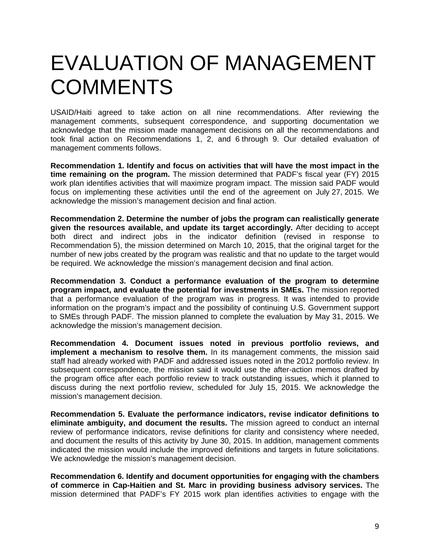# EVALUATION OF MANAGEMENT **COMMENTS**

USAID/Haiti agreed to take action on all nine recommendations. After reviewing the management comments, subsequent correspondence, and supporting documentation we acknowledge that the mission made management decisions on all the recommendations and took final action on Recommendations 1, 2, and 6 through 9. Our detailed evaluation of management comments follows.

**Recommendation 1. Identify and focus on activities that will have the most impact in the time remaining on the program.** The mission determined that PADF's fiscal year (FY) 2015 work plan identifies activities that will maximize program impact. The mission said PADF would focus on implementing these activities until the end of the agreement on July 27, 2015. We acknowledge the mission's management decision and final action.

**Recommendation 2. Determine the number of jobs the program can realistically generate given the resources available, and update its target accordingly.** After deciding to accept both direct and indirect jobs in the indicator definition (revised in response to Recommendation 5), the mission determined on March 10, 2015, that the original target for the number of new jobs created by the program was realistic and that no update to the target would be required. We acknowledge the mission's management decision and final action.

**Recommendation 3. Conduct a performance evaluation of the program to determine program impact, and evaluate the potential for investments in SMEs.** The mission reported that a performance evaluation of the program was in progress. It was intended to provide information on the program's impact and the possibility of continuing U.S. Government support to SMEs through PADF. The mission planned to complete the evaluation by May 31, 2015. We acknowledge the mission's management decision.

**Recommendation 4. Document issues noted in previous portfolio reviews, and implement a mechanism to resolve them.** In its management comments, the mission said staff had already worked with PADF and addressed issues noted in the 2012 portfolio review. In subsequent correspondence, the mission said it would use the after-action memos drafted by the program office after each portfolio review to track outstanding issues, which it planned to discuss during the next portfolio review, scheduled for July 15, 2015. We acknowledge the mission's management decision.

**Recommendation 5. Evaluate the performance indicators, revise indicator definitions to eliminate ambiguity, and document the results.** The mission agreed to conduct an internal review of performance indicators, revise definitions for clarity and consistency where needed, and document the results of this activity by June 30, 2015. In addition, management comments indicated the mission would include the improved definitions and targets in future solicitations. We acknowledge the mission's management decision.

**Recommendation 6. Identify and document opportunities for engaging with the chambers of commerce in Cap-Haitien and St. Marc in providing business advisory services.** The mission determined that PADF's FY 2015 work plan identifies activities to engage with the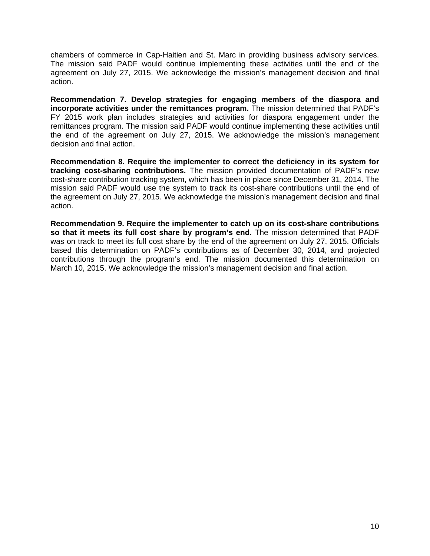chambers of commerce in Cap-Haitien and St. Marc in providing business advisory services. The mission said PADF would continue implementing these activities until the end of the agreement on July 27, 2015. We acknowledge the mission's management decision and final action.

**Recommendation 7. Develop strategies for engaging members of the diaspora and incorporate activities under the remittances program.** The mission determined that PADF's FY 2015 work plan includes strategies and activities for diaspora engagement under the remittances program. The mission said PADF would continue implementing these activities until the end of the agreement on July 27, 2015. We acknowledge the mission's management decision and final action.

**Recommendation 8. Require the implementer to correct the deficiency in its system for tracking cost-sharing contributions.** The mission provided documentation of PADF's new cost-share contribution tracking system, which has been in place since December 31, 2014. The mission said PADF would use the system to track its cost-share contributions until the end of the agreement on July 27, 2015. We acknowledge the mission's management decision and final action.

**Recommendation 9. Require the implementer to catch up on its cost-share contributions so that it meets its full cost share by program's end.** The mission determined that PADF was on track to meet its full cost share by the end of the agreement on July 27, 2015. Officials based this determination on PADF's contributions as of December 30, 2014, and projected contributions through the program's end. The mission documented this determination on March 10, 2015. We acknowledge the mission's management decision and final action.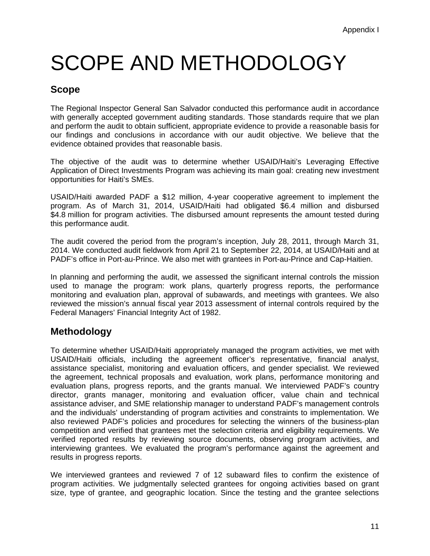# SCOPE AND METHODOLOGY

## **Scope**

The Regional Inspector General San Salvador conducted this performance audit in accordance with generally accepted government auditing standards. Those standards require that we plan and perform the audit to obtain sufficient, appropriate evidence to provide a reasonable basis for our findings and conclusions in accordance with our audit objective. We believe that the evidence obtained provides that reasonable basis.

The objective of the audit was to determine whether USAID/Haiti's Leveraging Effective Application of Direct Investments Program was achieving its main goal: creating new investment opportunities for Haiti's SMEs.

USAID/Haiti awarded PADF a \$12 million, 4-year cooperative agreement to implement the program. As of March 31, 2014, USAID/Haiti had obligated \$6.4 million and disbursed \$4.8 million for program activities. The disbursed amount represents the amount tested during this performance audit.

The audit covered the period from the program's inception, July 28, 2011, through March 31, 2014. We conducted audit fieldwork from April 21 to September 22, 2014, at USAID/Haiti and at PADF's office in Port-au-Prince. We also met with grantees in Port-au-Prince and Cap-Haitien.

In planning and performing the audit, we assessed the significant internal controls the mission used to manage the program: work plans, quarterly progress reports, the performance monitoring and evaluation plan, approval of subawards, and meetings with grantees. We also reviewed the mission's annual fiscal year 2013 assessment of internal controls required by the Federal Managers' Financial Integrity Act of 1982.

## **Methodology**

To determine whether USAID/Haiti appropriately managed the program activities, we met with USAID/Haiti officials, including the agreement officer's representative, financial analyst, assistance specialist, monitoring and evaluation officers, and gender specialist. We reviewed the agreement, technical proposals and evaluation, work plans, performance monitoring and evaluation plans, progress reports, and the grants manual. We interviewed PADF's country director, grants manager, monitoring and evaluation officer, value chain and technical assistance adviser, and SME relationship manager to understand PADF's management controls and the individuals' understanding of program activities and constraints to implementation. We also reviewed PADF's policies and procedures for selecting the winners of the business-plan competition and verified that grantees met the selection criteria and eligibility requirements. We verified reported results by reviewing source documents, observing program activities, and interviewing grantees. We evaluated the program's performance against the agreement and results in progress reports.

We interviewed grantees and reviewed 7 of 12 subaward files to confirm the existence of program activities. We judgmentally selected grantees for ongoing activities based on grant size, type of grantee, and geographic location. Since the testing and the grantee selections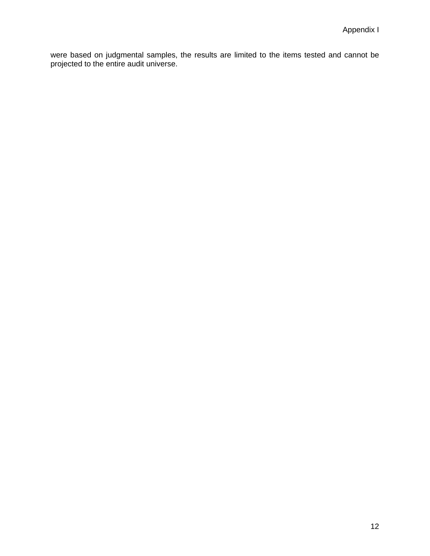were based on judgmental samples, the results are limited to the items tested and cannot be projected to the entire audit universe.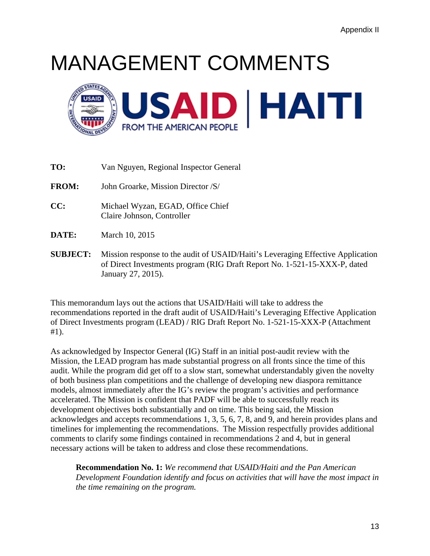# MANAGEMENT COMMENTS



**TO:** Van Nguyen, Regional Inspector General

**FROM:** John Groarke, Mission Director /S/

- **CC:** Michael Wyzan, EGAD, Office Chief Claire Johnson, Controller
- **DATE:** March 10, 2015
- **SUBJECT:** Mission response to the audit of USAID/Haiti's Leveraging Effective Application of Direct Investments program (RIG Draft Report No. 1-521-15-XXX-P, dated January 27, 2015).

This memorandum lays out the actions that USAID/Haiti will take to address the recommendations reported in the draft audit of USAID/Haiti's Leveraging Effective Application of Direct Investments program (LEAD) / RIG Draft Report No. 1-521-15-XXX-P (Attachment #1).

As acknowledged by Inspector General (IG) Staff in an initial post-audit review with the Mission, the LEAD program has made substantial progress on all fronts since the time of this audit. While the program did get off to a slow start, somewhat understandably given the novelty of both business plan competitions and the challenge of developing new diaspora remittance models, almost immediately after the IG's review the program's activities and performance accelerated. The Mission is confident that PADF will be able to successfully reach its development objectives both substantially and on time. This being said, the Mission acknowledges and accepts recommendations 1, 3, 5, 6, 7, 8, and 9, and herein provides plans and timelines for implementing the recommendations. The Mission respectfully provides additional comments to clarify some findings contained in recommendations 2 and 4, but in general necessary actions will be taken to address and close these recommendations.

**Recommendation No. 1:** *We recommend that USAID/Haiti and the Pan American Development Foundation identify and focus on activities that will have the most impact in the time remaining on the program.*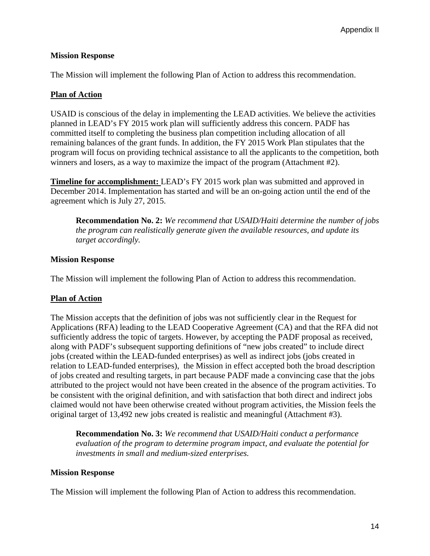#### **Mission Response**

The Mission will implement the following Plan of Action to address this recommendation.

#### **Plan of Action**

USAID is conscious of the delay in implementing the LEAD activities. We believe the activities planned in LEAD's FY 2015 work plan will sufficiently address this concern. PADF has committed itself to completing the business plan competition including allocation of all remaining balances of the grant funds. In addition, the FY 2015 Work Plan stipulates that the program will focus on providing technical assistance to all the applicants to the competition, both winners and losers, as a way to maximize the impact of the program (Attachment #2).

**Timeline for accomplishment:** LEAD's FY 2015 work plan was submitted and approved in December 2014. Implementation has started and will be an on-going action until the end of the agreement which is July 27, 2015.

**Recommendation No. 2:** *We recommend that USAID/Haiti determine the number of jobs the program can realistically generate given the available resources, and update its target accordingly.* 

#### **Mission Response**

The Mission will implement the following Plan of Action to address this recommendation.

#### **Plan of Action**

The Mission accepts that the definition of jobs was not sufficiently clear in the Request for Applications (RFA) leading to the LEAD Cooperative Agreement (CA) and that the RFA did not sufficiently address the topic of targets. However, by accepting the PADF proposal as received, along with PADF's subsequent supporting definitions of "new jobs created" to include direct jobs (created within the LEAD-funded enterprises) as well as indirect jobs (jobs created in relation to LEAD-funded enterprises), the Mission in effect accepted both the broad description of jobs created and resulting targets, in part because PADF made a convincing case that the jobs attributed to the project would not have been created in the absence of the program activities. To be consistent with the original definition, and with satisfaction that both direct and indirect jobs claimed would not have been otherwise created without program activities, the Mission feels the original target of 13,492 new jobs created is realistic and meaningful (Attachment #3).

**Recommendation No. 3:** *We recommend that USAID/Haiti conduct a performance evaluation of the program to determine program impact, and evaluate the potential for investments in small and medium-sized enterprises.* 

#### **Mission Response**

The Mission will implement the following Plan of Action to address this recommendation.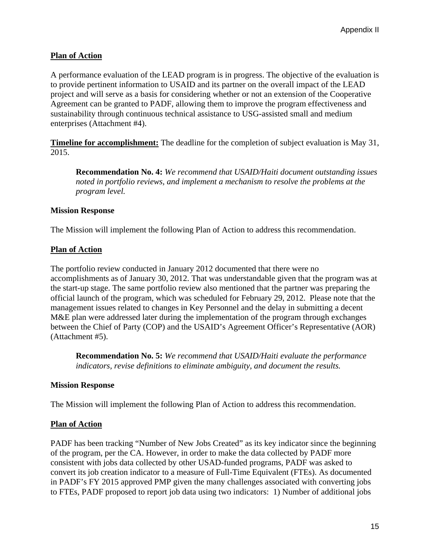#### **Plan of Action**

A performance evaluation of the LEAD program is in progress. The objective of the evaluation is to provide pertinent information to USAID and its partner on the overall impact of the LEAD project and will serve as a basis for considering whether or not an extension of the Cooperative Agreement can be granted to PADF, allowing them to improve the program effectiveness and sustainability through continuous technical assistance to USG-assisted small and medium enterprises (Attachment #4).

**Timeline for accomplishment:** The deadline for the completion of subject evaluation is May 31, 2015.

**Recommendation No. 4:** *We recommend that USAID/Haiti document outstanding issues noted in portfolio reviews, and implement a mechanism to resolve the problems at the program level.* 

#### **Mission Response**

The Mission will implement the following Plan of Action to address this recommendation.

#### **Plan of Action**

The portfolio review conducted in January 2012 documented that there were no accomplishments as of January 30, 2012. That was understandable given that the program was at the start-up stage. The same portfolio review also mentioned that the partner was preparing the official launch of the program, which was scheduled for February 29, 2012. Please note that the management issues related to changes in Key Personnel and the delay in submitting a decent M&E plan were addressed later during the implementation of the program through exchanges between the Chief of Party (COP) and the USAID's Agreement Officer's Representative (AOR) (Attachment #5).

**Recommendation No. 5:** *We recommend that USAID/Haiti evaluate the performance indicators, revise definitions to eliminate ambiguity, and document the results.* 

#### **Mission Response**

The Mission will implement the following Plan of Action to address this recommendation.

#### **Plan of Action**

PADF has been tracking "Number of New Jobs Created" as its key indicator since the beginning of the program, per the CA. However, in order to make the data collected by PADF more consistent with jobs data collected by other USAD-funded programs, PADF was asked to convert its job creation indicator to a measure of Full-Time Equivalent (FTEs). As documented in PADF's FY 2015 approved PMP given the many challenges associated with converting jobs to FTEs, PADF proposed to report job data using two indicators: 1) Number of additional jobs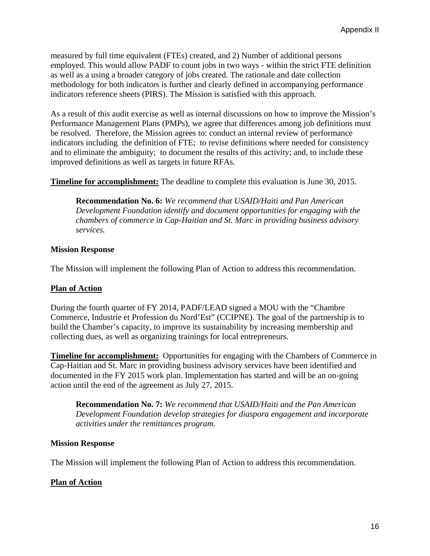measured by full time equivalent (FTEs) created, and 2) Number of additional persons employed. This would allow PADF to count jobs in two ways - within the strict FTE definition as well as a using a broader category of jobs created. The rationale and date collection methodology for both indicators is further and clearly defined in accompanying performance indicators reference sheets (PIRS). The Mission is satisfied with this approach.

As a result of this audit exercise as well as internal discussions on how to improve the Mission's Performance Management Plans (PMPs), we agree that differences among job definitions must be resolved. Therefore, the Mission agrees to: conduct an internal review of performance indicators including the definition of FTE; to revise definitions where needed for consistency and to eliminate the ambiguity; to document the results of this activity; and, to include these improved definitions as well as targets in future RFAs.

**Timeline for accomplishment:** The deadline to complete this evaluation is June 30, 2015.

**Recommendation No. 6:** *We recommend that USAID/Haiti and Pan American Development Foundation identify and document opportunities for engaging with the chambers of commerce in Cap-Haitian and St. Marc in providing business advisory services.* 

#### **Mission Response**

The Mission will implement the following Plan of Action to address this recommendation.

#### **Plan of Action**

During the fourth quarter of FY 2014, PADF/LEAD signed a MOU with the "Chambre Commerce, Industrie et Profession du Nord'Est" (CCIPNE). The goal of the partnership is to build the Chamber's capacity, to improve its sustainability by increasing membership and collecting dues, as well as organizing trainings for local entrepreneurs.

**Timeline for accomplishment:** Opportunities for engaging with the Chambers of Commerce in Cap-Haitian and St. Marc in providing business advisory services have been identified and documented in the FY 2015 work plan. Implementation has started and will be an on-going action until the end of the agreement as July 27, 2015.

**Recommendation No. 7:** *We recommend that USAID/Haiti and the Pan American Development Foundation develop strategies for diaspora engagement and incorporate activities under the remittances program.* 

#### **Mission Response**

The Mission will implement the following Plan of Action to address this recommendation.

#### **Plan of Action**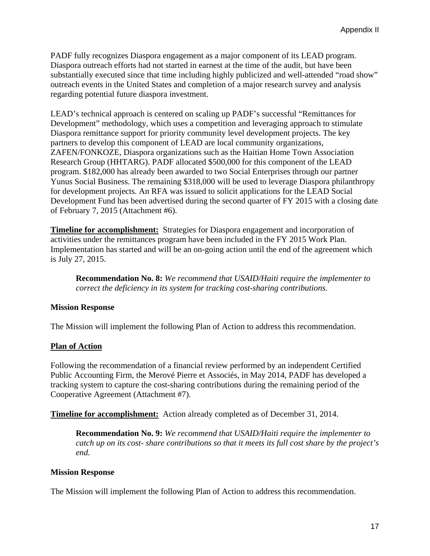PADF fully recognizes Diaspora engagement as a major component of its LEAD program. Diaspora outreach efforts had not started in earnest at the time of the audit, but have been substantially executed since that time including highly publicized and well-attended "road show" outreach events in the United States and completion of a major research survey and analysis regarding potential future diaspora investment.

LEAD's technical approach is centered on scaling up PADF's successful "Remittances for Development" methodology, which uses a competition and leveraging approach to stimulate Diaspora remittance support for priority community level development projects. The key partners to develop this component of LEAD are local community organizations, ZAFEN/FONKOZE, Diaspora organizations such as the Haitian Home Town Association Research Group (HHTARG). PADF allocated \$500,000 for this component of the LEAD program. \$182,000 has already been awarded to two Social Enterprises through our partner Yunus Social Business. The remaining \$318,000 will be used to leverage Diaspora philanthropy for development projects. An RFA was issued to solicit applications for the LEAD Social Development Fund has been advertised during the second quarter of FY 2015 with a closing date of February 7, 2015 (Attachment #6).

**Timeline for accomplishment:** Strategies for Diaspora engagement and incorporation of activities under the remittances program have been included in the FY 2015 Work Plan. Implementation has started and will be an on-going action until the end of the agreement which is July 27, 2015.

**Recommendation No. 8:** *We recommend that USAID/Haiti require the implementer to correct the deficiency in its system for tracking cost-sharing contributions.*

#### **Mission Response**

The Mission will implement the following Plan of Action to address this recommendation.

#### **Plan of Action**

Following the recommendation of a financial review performed by an independent Certified Public Accounting Firm, the Merové Pierre et Associés, in May 2014, PADF has developed a tracking system to capture the cost-sharing contributions during the remaining period of the Cooperative Agreement (Attachment #7).

**Timeline for accomplishment:**Action already completed as of December 31, 2014.

**Recommendation No. 9:** *We recommend that USAID/Haiti require the implementer to catch up on its cost- share contributions so that it meets its full cost share by the project's end.* 

#### **Mission Response**

The Mission will implement the following Plan of Action to address this recommendation.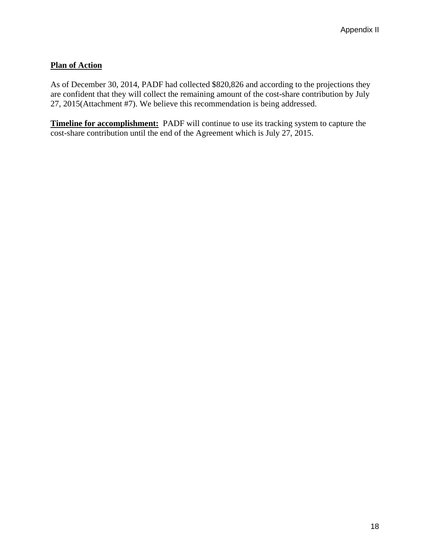### **Plan of Action**

As of December 30, 2014, PADF had collected \$820,826 and according to the projections they are confident that they will collect the remaining amount of the cost-share contribution by July 27, 2015(Attachment #7). We believe this recommendation is being addressed.

**Timeline for accomplishment:** PADF will continue to use its tracking system to capture the cost-share contribution until the end of the Agreement which is July 27, 2015.